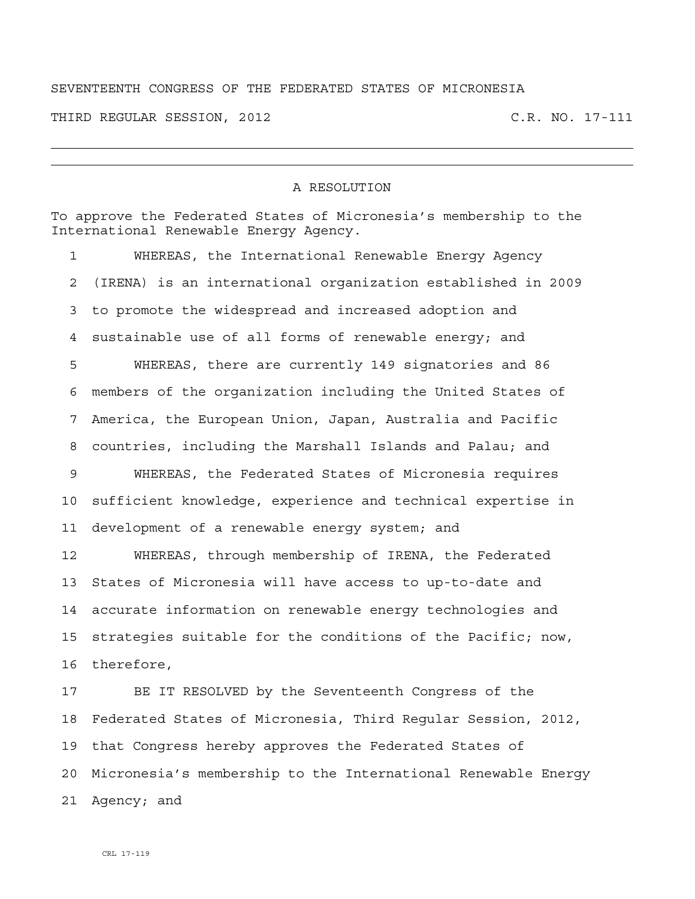## SEVENTEENTH CONGRESS OF THE FEDERATED STATES OF MICRONESIA

THIRD REGULAR SESSION, 2012 C.R. NO. 17-111

## A RESOLUTION

| To approve the Federated States of Micronesia's membership to the<br>International Renewable Energy Agency. |                                                               |
|-------------------------------------------------------------------------------------------------------------|---------------------------------------------------------------|
| $\mathbf{1}$                                                                                                | WHEREAS, the International Renewable Energy Agency            |
| 2                                                                                                           | (IRENA) is an international organization established in 2009  |
| 3                                                                                                           | to promote the widespread and increased adoption and          |
| 4                                                                                                           | sustainable use of all forms of renewable energy; and         |
| 5                                                                                                           | WHEREAS, there are currently 149 signatories and 86           |
| 6                                                                                                           | members of the organization including the United States of    |
| 7                                                                                                           | America, the European Union, Japan, Australia and Pacific     |
| 8                                                                                                           | countries, including the Marshall Islands and Palau; and      |
| 9                                                                                                           | WHEREAS, the Federated States of Micronesia requires          |
| 10                                                                                                          | sufficient knowledge, experience and technical expertise in   |
| 11                                                                                                          | development of a renewable energy system; and                 |
| 12                                                                                                          | WHEREAS, through membership of IRENA, the Federated           |
| 13                                                                                                          | States of Micronesia will have access to up-to-date and       |
| 14                                                                                                          | accurate information on renewable energy technologies and     |
| 15                                                                                                          | strategies suitable for the conditions of the Pacific; now,   |
| 16                                                                                                          | therefore,                                                    |
| 17                                                                                                          | BE IT RESOLVED by the Seventeenth Congress of the             |
| 18                                                                                                          | Federated States of Micronesia, Third Regular Session, 2012,  |
| 19                                                                                                          | that Congress hereby approves the Federated States of         |
| 20                                                                                                          | Micronesia's membership to the International Renewable Energy |
| 21                                                                                                          | Agency; and                                                   |